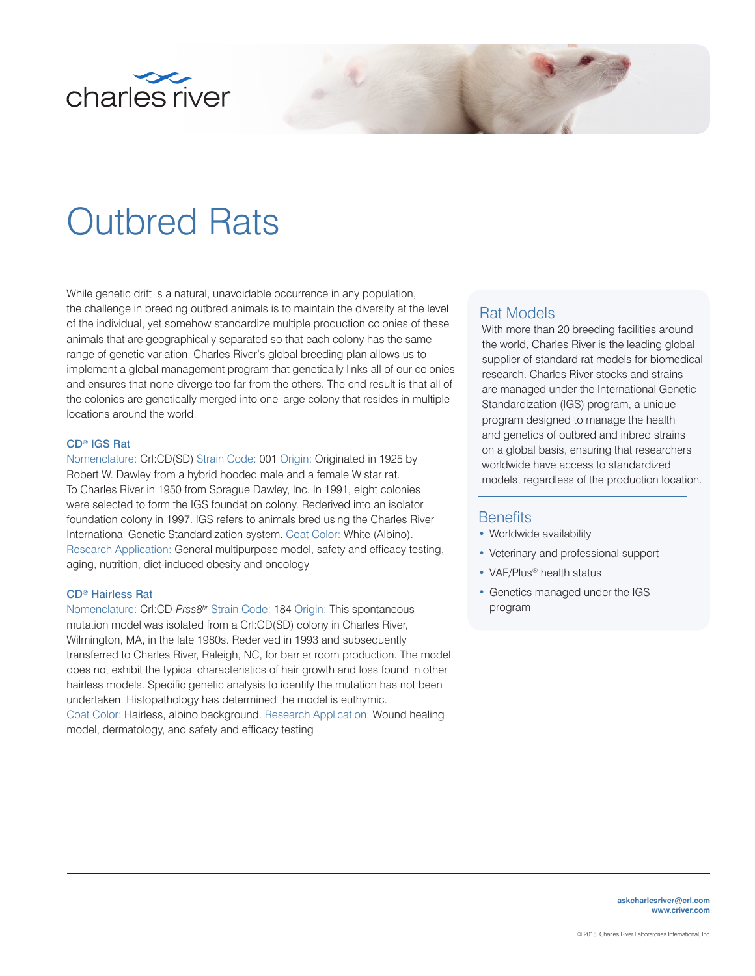

# Outbred Rats

While genetic drift is a natural, unavoidable occurrence in any population, the challenge in breeding outbred animals is to maintain the diversity at the level of the individual, yet somehow standardize multiple production colonies of these animals that are geographically separated so that each colony has the same range of genetic variation. Charles River's global breeding plan allows us to implement a global management program that genetically links all of our colonies and ensures that none diverge too far from the others. The end result is that all of the colonies are genetically merged into one large colony that resides in multiple locations around the world.

## CD® IGS Rat

Nomenclature: Crl:CD(SD) Strain Code: 001 Origin: Originated in 1925 by Robert W. Dawley from a hybrid hooded male and a female Wistar rat. To Charles River in 1950 from Sprague Dawley, Inc. In 1991, eight colonies were selected to form the IGS foundation colony. Rederived into an isolator foundation colony in 1997. IGS refers to animals bred using the Charles River International Genetic Standardization system. Coat Color: White (Albino). Research Application: General multipurpose model, safety and efficacy testing, aging, nutrition, diet-induced obesity and oncology

#### CD® Hairless Rat

Nomenclature: Crl:CD-*Prss8hr* Strain Code: 184 Origin: This spontaneous mutation model was isolated from a Crl:CD(SD) colony in Charles River, Wilmington, MA, in the late 1980s. Rederived in 1993 and subsequently transferred to Charles River, Raleigh, NC, for barrier room production. The model does not exhibit the typical characteristics of hair growth and loss found in other hairless models. Specific genetic analysis to identify the mutation has not been undertaken. Histopathology has determined the model is euthymic. Coat Color: Hairless, albino background. Research Application: Wound healing model, dermatology, and safety and efficacy testing

# Rat Models

With more than 20 breeding facilities around the world, Charles River is the leading global supplier of standard rat models for biomedical research. Charles River stocks and strains are managed under the International Genetic Standardization (IGS) program, a unique program designed to manage the health and genetics of outbred and inbred strains on a global basis, ensuring that researchers worldwide have access to standardized models, regardless of the production location.

# **Benefits**

- Worldwide availability
- Veterinary and professional support
- VAF/Plus<sup>®</sup> health status
- Genetics managed under the IGS program